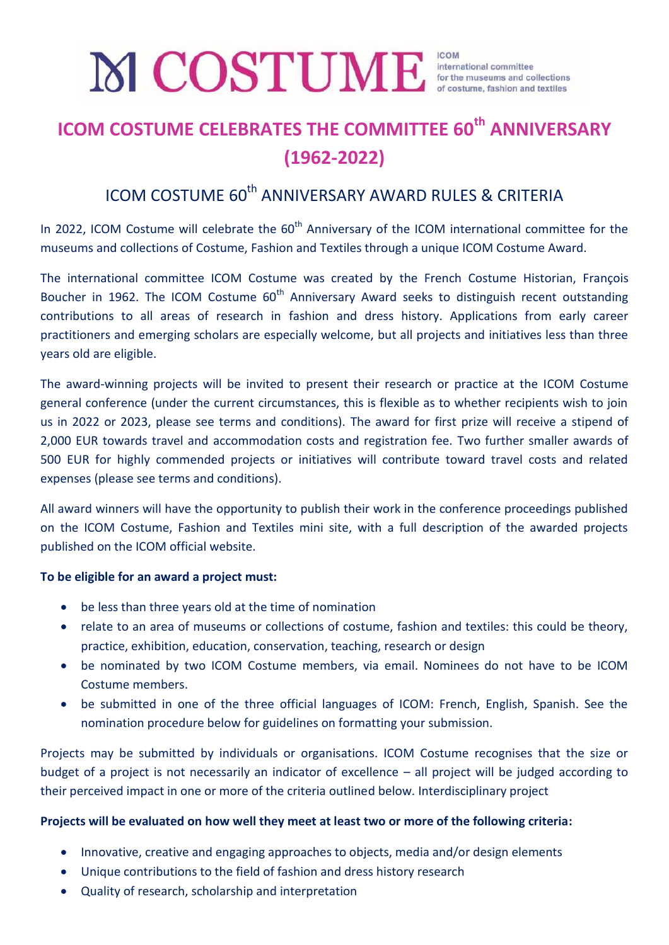# **ICOM COSTUME CELEBRATES THE COMMITTEE 60th ANNIVERSARY (1962-2022)**

# ICOM COSTUME 60<sup>th</sup> ANNIVERSARY AWARD RULES & CRITERIA

In 2022, ICOM Costume will celebrate the 60<sup>th</sup> Anniversary of the ICOM international committee for the museums and collections of Costume, Fashion and Textiles through a unique ICOM Costume Award.

The international committee ICOM Costume was created by the French Costume Historian, François Boucher in 1962. The ICOM Costume  $60<sup>th</sup>$  Anniversary Award seeks to distinguish recent outstanding contributions to all areas of research in fashion and dress history. Applications from early career practitioners and emerging scholars are especially welcome, but all projects and initiatives less than three years old are eligible.

The award-winning projects will be invited to present their research or practice at the ICOM Costume general conference (under the current circumstances, this is flexible as to whether recipients wish to join us in 2022 or 2023, please see terms and conditions). The award for first prize will receive a stipend of 2,000 EUR towards travel and accommodation costs and registration fee. Two further smaller awards of 500 EUR for highly commended projects or initiatives will contribute toward travel costs and related expenses (please see terms and conditions).

All award winners will have the opportunity to publish their work in the conference proceedings published on the ICOM Costume, Fashion and Textiles mini site, with a full description of the awarded projects published on the ICOM official website.

#### **To be eligible for an award a project must:**

- be less than three years old at the time of nomination
- relate to an area of museums or collections of costume, fashion and textiles: this could be theory, practice, exhibition, education, conservation, teaching, research or design
- be nominated by two ICOM Costume members, via email. Nominees do not have to be ICOM Costume members.
- be submitted in one of the three official languages of ICOM: French, English, Spanish. See the nomination procedure below for guidelines on formatting your submission.

Projects may be submitted by individuals or organisations. ICOM Costume recognises that the size or budget of a project is not necessarily an indicator of excellence – all project will be judged according to their perceived impact in one or more of the criteria outlined below. Interdisciplinary project

# **Projects will be evaluated on how well they meet at least two or more of the following criteria:**

- Innovative, creative and engaging approaches to objects, media and/or design elements
- Unique contributions to the field of fashion and dress history research
- Quality of research, scholarship and interpretation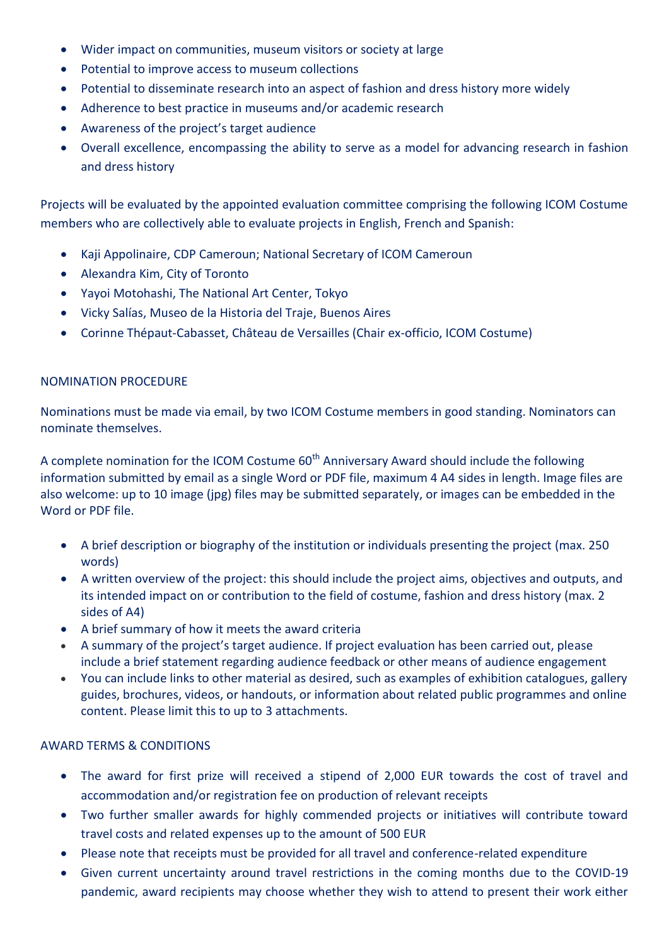- Wider impact on communities, museum visitors or society at large
- Potential to improve access to museum collections
- Potential to disseminate research into an aspect of fashion and dress history more widely
- Adherence to best practice in museums and/or academic research
- Awareness of the project's target audience
- Overall excellence, encompassing the ability to serve as a model for advancing research in fashion and dress history

Projects will be evaluated by the appointed evaluation committee comprising the following ICOM Costume members who are collectively able to evaluate projects in English, French and Spanish:

- Kaji Appolinaire, CDP Cameroun; National Secretary of ICOM Cameroun
- Alexandra Kim, City of Toronto
- Yayoi Motohashi, The National Art Center, Tokyo
- Vicky Salías, Museo de la Historia del Traje, Buenos Aires
- Corinne Thépaut-Cabasset, Château de Versailles (Chair ex-officio, ICOM Costume)

### NOMINATION PROCEDURE

Nominations must be made via email, by two ICOM Costume members in good standing. Nominators can nominate themselves.

A complete nomination for the ICOM Costume 60<sup>th</sup> Anniversary Award should include the following information submitted by email as a single Word or PDF file, maximum 4 A4 sides in length. Image files are also welcome: up to 10 image (jpg) files may be submitted separately, or images can be embedded in the Word or PDF file.

- A brief description or biography of the institution or individuals presenting the project (max. 250 words)
- A written overview of the project: this should include the project aims, objectives and outputs, and its intended impact on or contribution to the field of costume, fashion and dress history (max. 2 sides of A4)
- A brief summary of how it meets the award criteria
- A summary of the project's target audience. If project evaluation has been carried out, please include a brief statement regarding audience feedback or other means of audience engagement
- You can include links to other material as desired, such as examples of exhibition catalogues, gallery guides, brochures, videos, or handouts, or information about related public programmes and online content. Please limit this to up to 3 attachments.

# AWARD TERMS & CONDITIONS

- The award for first prize will received a stipend of 2,000 EUR towards the cost of travel and accommodation and/or registration fee on production of relevant receipts
- Two further smaller awards for highly commended projects or initiatives will contribute toward travel costs and related expenses up to the amount of 500 EUR
- Please note that receipts must be provided for all travel and conference-related expenditure
- Given current uncertainty around travel restrictions in the coming months due to the COVID-19 pandemic, award recipients may choose whether they wish to attend to present their work either